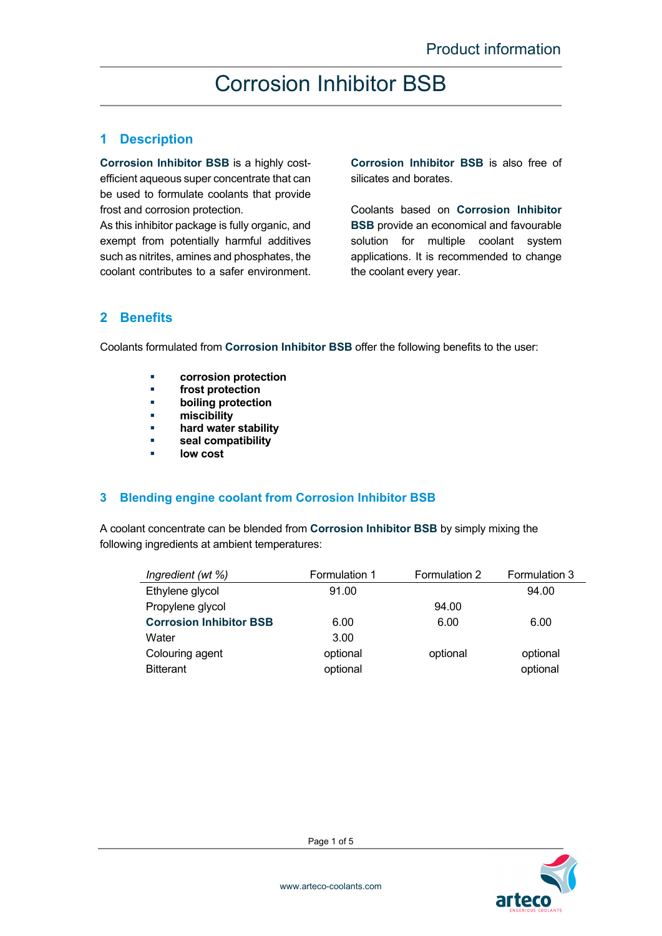### **1 Description**

**Corrosion Inhibitor BSB** is a highly costefficient aqueous super concentrate that can be used to formulate coolants that provide frost and corrosion protection.

As this inhibitor package is fully organic, and exempt from potentially harmful additives such as nitrites, amines and phosphates, the coolant contributes to a safer environment.

**Corrosion Inhibitor BSB** is also free of silicates and borates.

Coolants based on **Corrosion Inhibitor BSB** provide an economical and favourable solution for multiple coolant system applications. It is recommended to change the coolant every year.

### **2 Benefits**

Coolants formulated from **Corrosion Inhibitor BSB** offer the following benefits to the user:

- **corrosion protection**
- **frost protection**
- **boiling protection**
- **miscibility**
- **hard water stability**
- **seal compatibility**
- **low cost**

#### **3 Blending engine coolant from Corrosion Inhibitor BSB**

A coolant concentrate can be blended from **Corrosion Inhibitor BSB** by simply mixing the following ingredients at ambient temperatures:

| Ingredient (wt %)              | Formulation 1 | Formulation 2 | Formulation 3 |
|--------------------------------|---------------|---------------|---------------|
| Ethylene glycol                | 91.00         |               | 94.00         |
| Propylene glycol               |               | 94.00         |               |
| <b>Corrosion Inhibitor BSB</b> | 6.00          | 6.00          | 6.00          |
| Water                          | 3.00          |               |               |
| Colouring agent                | optional      | optional      | optional      |
| <b>Bitterant</b>               | optional      |               | optional      |

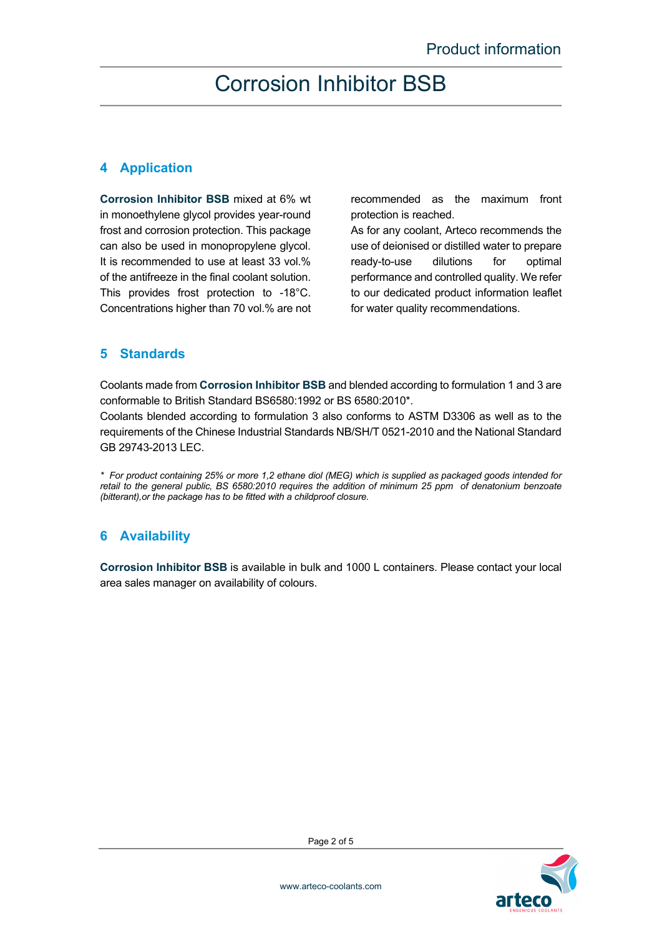### **4 Application**

**Corrosion Inhibitor BSB** mixed at 6% wt in monoethylene glycol provides year-round frost and corrosion protection. This package can also be used in monopropylene glycol. It is recommended to use at least 33 vol.% of the antifreeze in the final coolant solution. This provides frost protection to -18°C. Concentrations higher than 70 vol.% are not recommended as the maximum front protection is reached.

As for any coolant, Arteco recommends the use of deionised or distilled water to prepare ready-to-use dilutions for optimal performance and controlled quality. We refer to our dedicated product information leaflet for water quality recommendations.

### **5 Standards**

Coolants made from **Corrosion Inhibitor BSB** and blended according to formulation 1 and 3 are conformable to British Standard BS6580:1992 or BS 6580:2010\*.

Coolants blended according to formulation 3 also conforms to ASTM D3306 as well as to the requirements of the Chinese Industrial Standards NB/SH/T 0521-2010 and the National Standard GB 29743-2013 LEC.

*\* For product containing 25% or more 1,2 ethane diol (MEG) which is supplied as packaged goods intended for retail to the general public, BS 6580:2010 requires the addition of minimum 25 ppm of denatonium benzoate (bitterant),or the package has to be fitted with a childproof closure.* 

### **6 Availability**

**Corrosion Inhibitor BSB** is available in bulk and 1000 L containers. Please contact your local area sales manager on availability of colours.

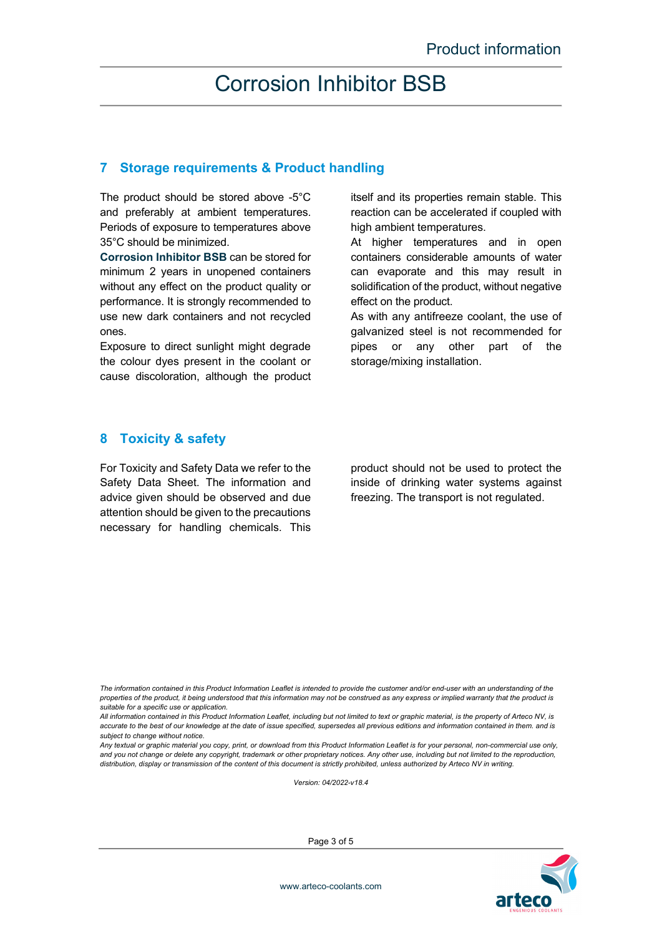### **7 Storage requirements & Product handling**

The product should be stored above -5°C and preferably at ambient temperatures. Periods of exposure to temperatures above 35°C should be minimized.

**Corrosion Inhibitor BSB** can be stored for minimum 2 years in unopened containers without any effect on the product quality or performance. It is strongly recommended to use new dark containers and not recycled ones.

Exposure to direct sunlight might degrade the colour dyes present in the coolant or cause discoloration, although the product itself and its properties remain stable. This reaction can be accelerated if coupled with high ambient temperatures.

At higher temperatures and in open containers considerable amounts of water can evaporate and this may result in solidification of the product, without negative effect on the product.

As with any antifreeze coolant, the use of galvanized steel is not recommended for pipes or any other part of the storage/mixing installation.

### **8 Toxicity & safety**

For Toxicity and Safety Data we refer to the Safety Data Sheet. The information and advice given should be observed and due attention should be given to the precautions necessary for handling chemicals. This product should not be used to protect the inside of drinking water systems against freezing. The transport is not regulated.

*The information contained in this Product Information Leaflet is intended to provide the customer and/or end-user with an understanding of the properties of the product, it being understood that this information may not be construed as any express or implied warranty that the product is suitable for a specific use or application.* 

*All information contained in this Product Information Leaflet, including but not limited to text or graphic material, is the property of Arteco NV, is accurate to the best of our knowledge at the date of issue specified, supersedes all previous editions and information contained in them. and is subject to change without notice.* 

*Any textual or graphic material you copy, print, or download from this Product Information Leaflet is for your personal, non-commercial use only, and you not change or delete any copyright, trademark or other proprietary notices. Any other use, including but not limited to the reproduction, distribution, display or transmission of the content of this document is strictly prohibited, unless authorized by Arteco NV in writing.* 

*Version: 04/2022-v18.4* 



Page 3 of 5

www.arteco-coolants.com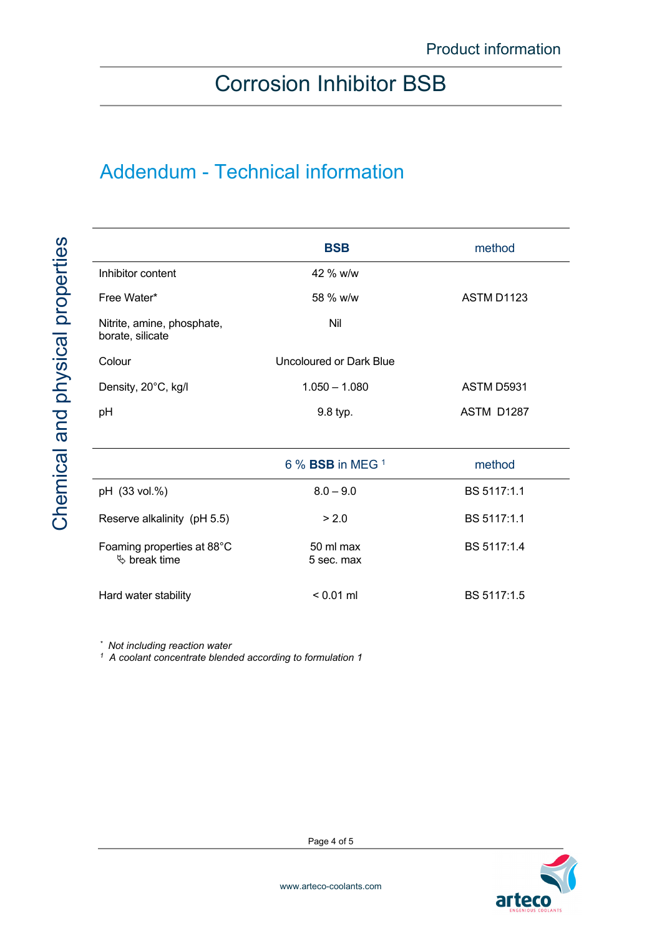# Addendum - Technical information

|                                                         | <b>BSB</b>                             | method            |  |
|---------------------------------------------------------|----------------------------------------|-------------------|--|
| Inhibitor content                                       | 42 % w/w                               |                   |  |
| Free Water*                                             | ASTM D1123<br>58 % w/w                 |                   |  |
| Nitrite, amine, phosphate,<br>borate, silicate          | Nil                                    |                   |  |
| Colour                                                  | Uncoloured or Dark Blue                |                   |  |
| Density, 20°C, kg/l                                     | $1.050 - 1.080$<br>ASTM D5931          |                   |  |
| рH                                                      | 9.8 typ.                               | <b>ASTM D1287</b> |  |
|                                                         |                                        |                   |  |
|                                                         | $6\%$ BSB in MEG $1$                   | method            |  |
| pH (33 vol.%)                                           | $8.0 - 9.0$                            | BS 5117:1.1       |  |
| Reserve alkalinity (pH 5.5)                             | > 2.0                                  | BS 5117:1.1       |  |
| Foaming properties at 88°C<br>$\mathfrak{G}$ break time | BS 5117:1.4<br>50 ml max<br>5 sec. max |                   |  |
| Hard water stability                                    | $< 0.01$ ml<br>BS 5117:1.5             |                   |  |

*\* Not including reaction water*

*1 A coolant concentrate blended according to formulation 1*



Page 4 of 5